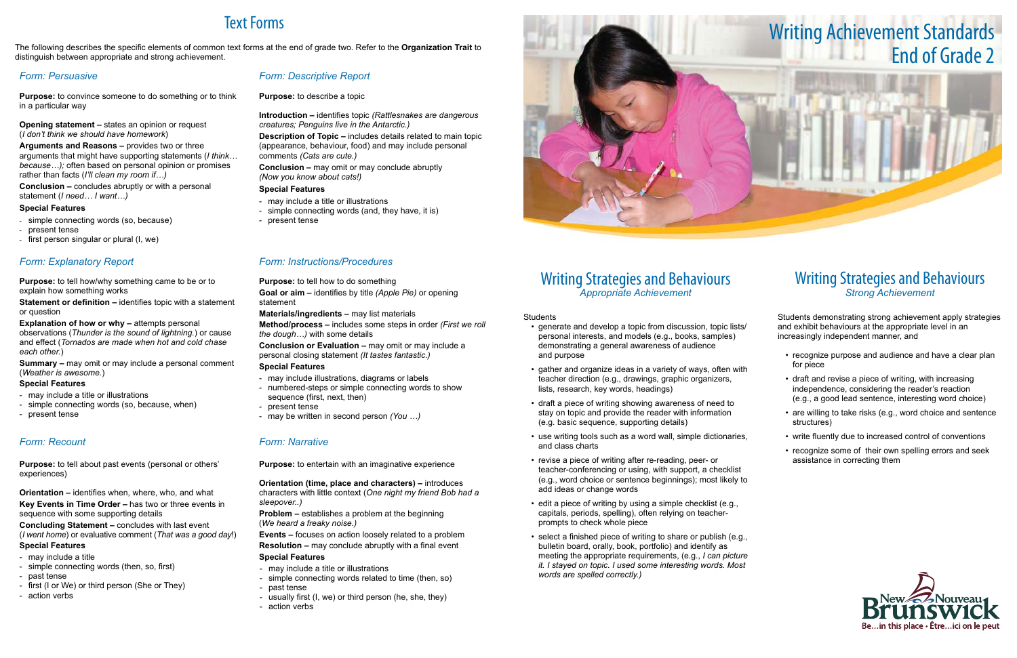# Writing Strategies and Behaviours *Appropriate Achievement*

#### **Students**

- generate and develop a topic from discussion, topic lists/ personal interests, and models (e.g., books, samples) demonstrating a general awareness of audience and purpose
- gather and organize ideas in a variety of ways, often with teacher direction (e.g., drawings, graphic organizers, lists, research, key words, headings)
- draft a piece of writing showing awareness of need to stay on topic and provide the reader with information (e.g. basic sequence, supporting details)
- use writing tools such as a word wall, simple dictionaries, and class charts
- revise a piece of writing after re-reading, peer- or teacher-conferencing or using, with support, a checklist (e.g., word choice or sentence beginnings); most likely to add ideas or change words
- $\cdot$  edit a piece of writing by using a simple checklist (e.g., capitals, periods, spelling), often relying on teacherprompts to check whole piece
- select a finished piece of writing to share or publish (e.g., bulletin board, orally, book, portfolio) and identify as meeting the appropriate requirements, (e.g., *I can picture it. I stayed on topic. I used some interesting words. Most words are spelled correctly.)*

- recognize purpose and audience and have a clear plan for piece
- draft and revise a piece of writing, with increasing independence, considering the reader's reaction (e.g., a good lead sentence, interesting word choice)
- are willing to take risks (e.g., word choice and sentence structures)
- write fluently due to increased control of conventions
- recognize some of their own spelling errors and seek assistance in correcting them



# Writing Strategies and Behaviours *Strong Achievement*

Students demonstrating strong achievement apply strategies and exhibit behaviours at the appropriate level in an increasingly independent manner, and

**Explanation of how or why – attempts personal** observations (*Thunder is the sound of lightning.*) or cause and effect (*Tornados are made when hot and cold chase each other.*)

# Text Forms

The following describes the specific elements of common text forms at the end of grade two. Refer to the **Organization Trait** to distinguish between appropriate and strong achievement.

# *Form: Persuasive*

**Purpose:** to convince someone to do something or to think in a particular way

**Opening statement –** states an opinion or request (*I don't think we should have homework*)

**Arguments and Reasons –** provides two or three arguments that might have supporting statements (*I think… because…);* often based on personal opinion or promises rather than facts (*I'll clean my room if…)*

**Conclusion –** concludes abruptly or with a personal statement (*I need… I want…)*

#### **Special Features**

- simple connecting words (so, because)

- present tense
- first person singular or plural (I, we)

# *Form: Descriptive Report*

**Purpose:** to describe a topic

**Introduction –** identifies topic *(Rattlesnakes are dangerous creatures; Penguins live in the Antarctic.)*

**Description of Topic –** includes details related to main topic (appearance, behaviour, food) and may include personal comments *(Cats are cute.)*

**Conclusion –** may omit or may conclude abruptly *(Now you know about cats!)*

### **Special Features**

- may include a title or illustrations
- simple connecting words (and, they have, it is)
- present tense

# *Form: Explanatory Report*

**Purpose:** to tell how/why something came to be or to explain how something works

**Statement or definition –** identifies topic with a statement or question

**Summary –** may omit or may include a personal comment (*Weather is awesome.*)

### **Special Features**

- may include a title or illustrations
- simple connecting words (so, because, when)
- present tense

# *Form: Instructions/Procedures*

**Purpose:** to tell how to do something

**Goal or aim –** identifies by title *(Apple Pie)* or opening statement

**Materials/ingredients –** may list materials

**Method/process –** includes some steps in order *(First we roll the dough…)* with some details

**Conclusion or Evaluation –** may omit or may include a personal closing statement *(It tastes fantastic.)*

### **Special Features**

- may include illustrations, diagrams or labels
- numbered-steps or simple connecting words to show sequence (first, next, then)
- present tense
- may be written in second person *(You …)*

# *Form: Recount*

**Purpose:** to tell about past events (personal or others' experiences)

**Orientation –** identifies when, where, who, and what **Key Events in Time Order –** has two or three events in sequence with some supporting details

**Concluding Statement –** concludes with last event (*I went home*) or evaluative comment (*That was a good day*!)

### **Special Features**

- may include a title
- simple connecting words (then, so, first)
- past tense
- first (I or We) or third person (She or They)
- action verbs

# *Form: Narrative*

**Purpose:** to entertain with an imaginative experience

**Orientation (time, place and characters) –** introduces characters with little context (*One night my friend Bob had a sleepover..)*

**Problem –** establishes a problem at the beginning (*We heard a freaky noise.)*

**Events –** focuses on action loosely related to a problem **Resolution –** may conclude abruptly with a final event **Special Features**

- may include a title or illustrations
- simple connecting words related to time (then, so)
- past tense
- usually first (I, we) or third person (he, she, they)
- action verbs